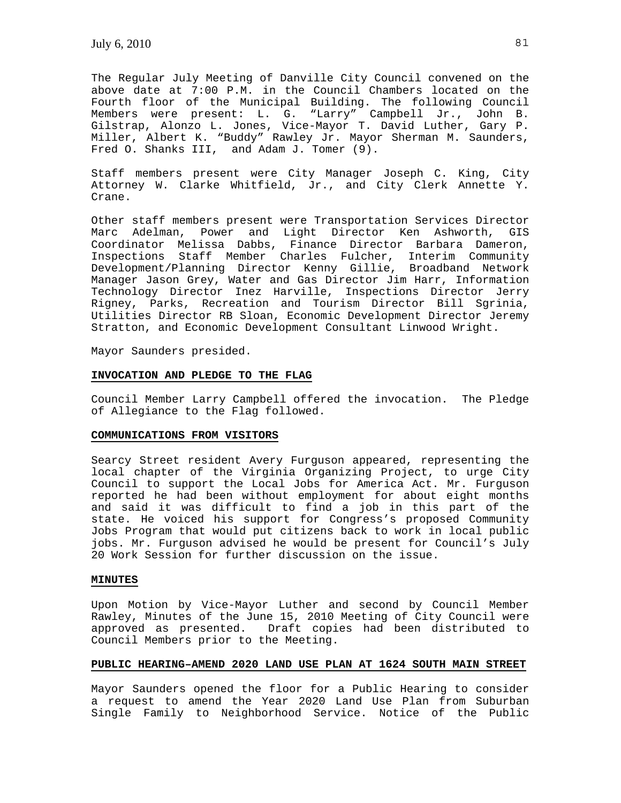The Regular July Meeting of Danville City Council convened on the above date at 7:00 P.M. in the Council Chambers located on the Fourth floor of the Municipal Building. The following Council Members were present: L. G. "Larry" Campbell Jr., John B. Gilstrap, Alonzo L. Jones, Vice-Mayor T. David Luther, Gary P. Miller, Albert K. "Buddy" Rawley Jr. Mayor Sherman M. Saunders, Fred O. Shanks III, and Adam J. Tomer (9).

Staff members present were City Manager Joseph C. King, City Attorney W. Clarke Whitfield, Jr., and City Clerk Annette Y. Crane.

Other staff members present were Transportation Services Director Marc Adelman, Power and Light Director Ken Ashworth, GIS Coordinator Melissa Dabbs, Finance Director Barbara Dameron, Inspections Staff Member Charles Fulcher, Interim Community Development/Planning Director Kenny Gillie, Broadband Network Manager Jason Grey, Water and Gas Director Jim Harr, Information Technology Director Inez Harville, Inspections Director Jerry Rigney, Parks, Recreation and Tourism Director Bill Sgrinia, Utilities Director RB Sloan, Economic Development Director Jeremy Stratton, and Economic Development Consultant Linwood Wright.

Mayor Saunders presided.

#### **INVOCATION AND PLEDGE TO THE FLAG**

Council Member Larry Campbell offered the invocation. The Pledge of Allegiance to the Flag followed.

### **COMMUNICATIONS FROM VISITORS**

Searcy Street resident Avery Furguson appeared, representing the local chapter of the Virginia Organizing Project, to urge City Council to support the Local Jobs for America Act. Mr. Furguson reported he had been without employment for about eight months and said it was difficult to find a job in this part of the state. He voiced his support for Congress's proposed Community Jobs Program that would put citizens back to work in local public jobs. Mr. Furguson advised he would be present for Council's July 20 Work Session for further discussion on the issue.

### **MINUTES**

Upon Motion by Vice-Mayor Luther and second by Council Member Rawley, Minutes of the June 15, 2010 Meeting of City Council were approved as presented. Draft copies had been distributed to Council Members prior to the Meeting.

# **PUBLIC HEARING–AMEND 2020 LAND USE PLAN AT 1624 SOUTH MAIN STREET**

Mayor Saunders opened the floor for a Public Hearing to consider a request to amend the Year 2020 Land Use Plan from Suburban Single Family to Neighborhood Service. Notice of the Public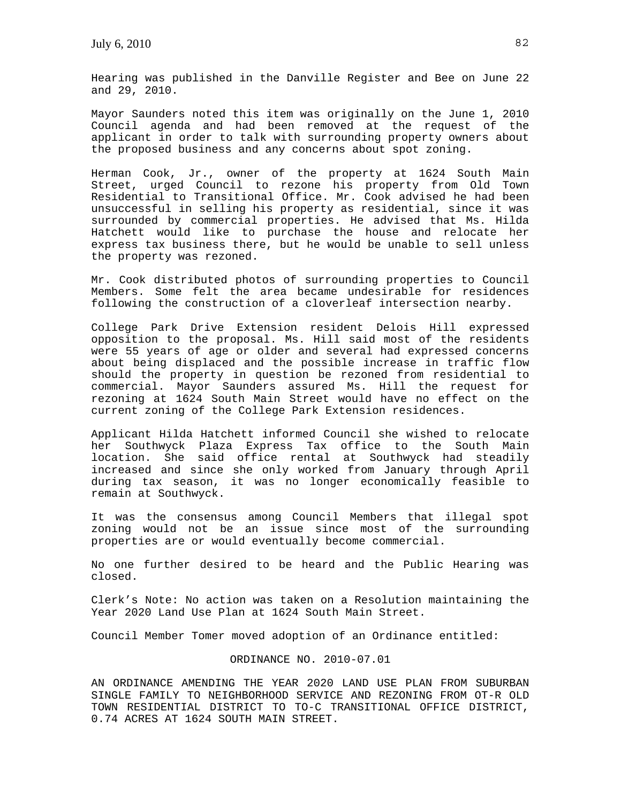Hearing was published in the Danville Register and Bee on June 22 and 29, 2010.

Mayor Saunders noted this item was originally on the June 1, 2010 Council agenda and had been removed at the request of the applicant in order to talk with surrounding property owners about the proposed business and any concerns about spot zoning.

Herman Cook, Jr., owner of the property at 1624 South Main Street, urged Council to rezone his property from Old Town Residential to Transitional Office. Mr. Cook advised he had been unsuccessful in selling his property as residential, since it was surrounded by commercial properties. He advised that Ms. Hilda Hatchett would like to purchase the house and relocate her express tax business there, but he would be unable to sell unless the property was rezoned.

Mr. Cook distributed photos of surrounding properties to Council Members. Some felt the area became undesirable for residences following the construction of a cloverleaf intersection nearby.

College Park Drive Extension resident Delois Hill expressed opposition to the proposal. Ms. Hill said most of the residents were 55 years of age or older and several had expressed concerns about being displaced and the possible increase in traffic flow should the property in question be rezoned from residential to commercial. Mayor Saunders assured Ms. Hill the request for rezoning at 1624 South Main Street would have no effect on the current zoning of the College Park Extension residences.

Applicant Hilda Hatchett informed Council she wished to relocate her Southwyck Plaza Express Tax office to the South Main location. She said office rental at Southwyck had steadily increased and since she only worked from January through April during tax season, it was no longer economically feasible to remain at Southwyck.

It was the consensus among Council Members that illegal spot zoning would not be an issue since most of the surrounding properties are or would eventually become commercial.

No one further desired to be heard and the Public Hearing was closed.

Clerk's Note: No action was taken on a Resolution maintaining the Year 2020 Land Use Plan at 1624 South Main Street.

Council Member Tomer moved adoption of an Ordinance entitled:

### ORDINANCE NO. 2010-07.01

AN ORDINANCE AMENDING THE YEAR 2020 LAND USE PLAN FROM SUBURBAN SINGLE FAMILY TO NEIGHBORHOOD SERVICE AND REZONING FROM OT-R OLD TOWN RESIDENTIAL DISTRICT TO TO-C TRANSITIONAL OFFICE DISTRICT, 0.74 ACRES AT 1624 SOUTH MAIN STREET.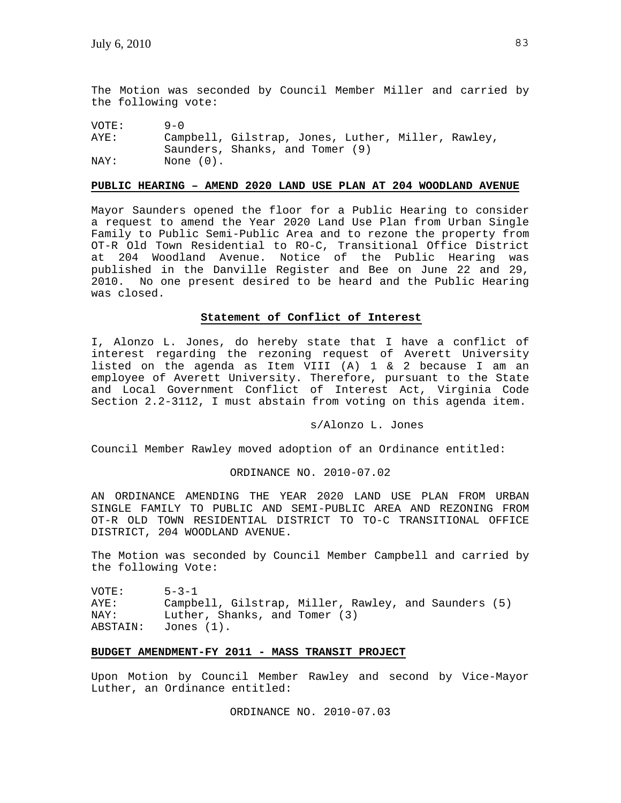The Motion was seconded by Council Member Miller and carried by the following vote:

VOTE: 9-0 AYE: Campbell, Gilstrap, Jones, Luther, Miller, Rawley, Saunders, Shanks, and Tomer (9)<br>NAY: None (0). None  $(0)$ .

### **PUBLIC HEARING – AMEND 2020 LAND USE PLAN AT 204 WOODLAND AVENUE**

Mayor Saunders opened the floor for a Public Hearing to consider a request to amend the Year 2020 Land Use Plan from Urban Single Family to Public Semi-Public Area and to rezone the property from OT-R Old Town Residential to RO-C, Transitional Office District at 204 Woodland Avenue. Notice of the Public Hearing was published in the Danville Register and Bee on June 22 and 29, 2010. No one present desired to be heard and the Public Hearing was closed.

### **Statement of Conflict of Interest**

I, Alonzo L. Jones, do hereby state that I have a conflict of interest regarding the rezoning request of Averett University listed on the agenda as Item VIII (A) 1 & 2 because I am an employee of Averett University. Therefore, pursuant to the State and Local Government Conflict of Interest Act, Virginia Code Section 2.2-3112, I must abstain from voting on this agenda item.

### s/Alonzo L. Jones

Council Member Rawley moved adoption of an Ordinance entitled:

### ORDINANCE NO. 2010-07.02

AN ORDINANCE AMENDING THE YEAR 2020 LAND USE PLAN FROM URBAN SINGLE FAMILY TO PUBLIC AND SEMI-PUBLIC AREA AND REZONING FROM OT-R OLD TOWN RESIDENTIAL DISTRICT TO TO-C TRANSITIONAL OFFICE DISTRICT, 204 WOODLAND AVENUE.

The Motion was seconded by Council Member Campbell and carried by the following Vote:

VOTE: 5-3-1 AYE: Campbell, Gilstrap, Miller, Rawley, and Saunders (5) NAY: Luther, Shanks, and Tomer (3) ABSTAIN: Jones (1).

# **BUDGET AMENDMENT-FY 2011 - MASS TRANSIT PROJECT**

Upon Motion by Council Member Rawley and second by Vice-Mayor Luther, an Ordinance entitled:

ORDINANCE NO. 2010-07.03